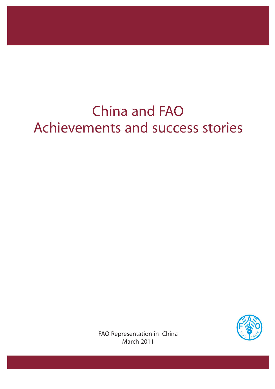# China and FAO Achievements and success stories



FAO Representation in China March 2011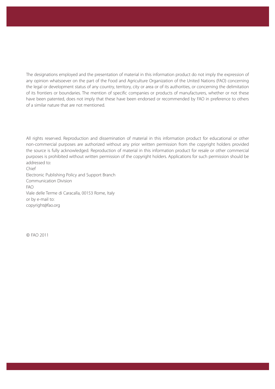The designations employed and the presentation of material in this information product do not imply the expression of any opinion whatsoever on the part of the Food and Agriculture Organization of the United Nations (FAO) concerning the legal or development status of any country, territory, city or area or of its authorities, or concerning the delimitation of its frontiers or boundaries. The mention of specific companies or products of manufacturers, whether or not these have been patented, does not imply that these have been endorsed or recommended by FAO in preference to others of a similar nature that are not mentioned.

All rights reserved. Reproduction and dissemination of material in this information product for educational or other non-commercial purposes are authorized without any prior written permission from the copyright holders provided the source is fully acknowledged. Reproduction of material in this information product for resale or other commercial purposes is prohibited without written permission of the copyright holders. Applications for such permission should be addressed to: Chief

Electronic Publishing Policy and Support Branch Communication Division FAO Viale delle Terme di Caracalla, 00153 Rome, Italy or by e-mail to: copyright@fao.org

© FAO 2011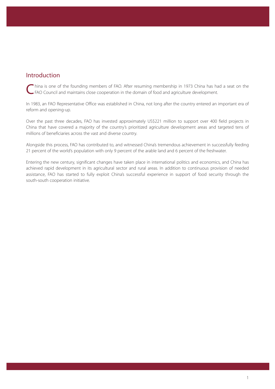# Introduction

Thina is one of the founding members of FAO. After resuming membership in 1973 China has had a seat on the FAO Council and maintains close cooperation in the domain of food and agriculture development.

In 1983, an FAO Representative Office was established in China, not long after the country entered an important era of reform and opening-up.

Over the past three decades, FAO has invested approximately US\$221 million to support over 400 field projects in China that have covered a majority of the country's prioritized agriculture development areas and targeted tens of millions of beneficiaries across the vast and diverse country.

Alongside this process, FAO has contributed to, and witnessed China's tremendous achievement in successfully feeding 21 percent of the world's population with only 9 percent of the arable land and 6 percent of the freshwater.

Entering the new century, significant changes have taken place in international politics and economics, and China has achieved rapid development in its agricultural sector and rural areas. In addition to continuous provision of needed assistance, FAO has started to fully exploit China's successful experience in support of food security through the south-south cooperation initiative.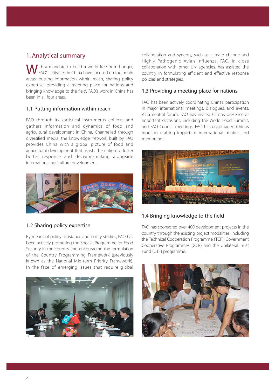# 1. Analytical summary

Ith a mandate to build a world free from hunger, FAO's activities in China have focused on four main areas: putting information within reach, sharing policy expertise, providing a meeting place for nations and bringing knowledge to the field. FAO's work in China has been in all four areas.

#### 1.1 Putting information within reach

FAO through its statistical instruments collects and gathers information and dynamics of food and agricultural development in China. Channelled through diversified media, the knowledge network built by FAO provides China with a global picture of food and agricultural development that assists the nation to foster better response and decision-making alongside international agriculture development.



#### 1.2 Sharing policy expertise

By means of policy assistance and policy studies, FAO has been actively promoting the Special Programme for Food Security in the country and encouraging the formulation of the Country Programming Framework (previously known as the National Mid-term Priority Framework). In the face of emerging issues that require global



collaboration and synergy, such as climate change and Highly Pathogenic Avian Influenza, FAO, in close collaboration with other UN agencies, has assisted the country in formulating efficient and effective response policies and strategies.

#### 1.3 Providing a meeting place for nations

FAO has been actively coordinating China's participation in major international meetings, dialogues, and events. As a neutral forum, FAO has invited China's presence at important occasions, including the World Food Summit, and FAO Council meetings. FAO has encouraged China's input in drafting important international treaties and memoranda.



#### 1.4 Bringing knowledge to the field

FAO has sponsored over 400 development projects in the country through the existing project modalities, including the Technical Cooperation Programme (TCP), Government Cooperative Programmes (GCP) and the Unilateral Trust Fund (UTF) programme.

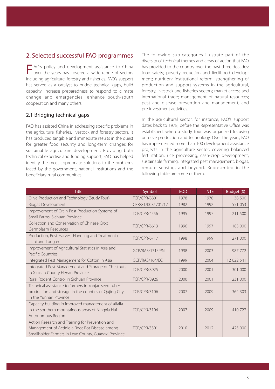## 2. Selected successful FAO programmes

F AO's policy and development assistance to China over the years has covered a wide range of sectors including agriculture, forestry and fisheries. FAO's support has served as a catalyst to bridge technical gaps, build capacity, increase preparedness to respond to climate change and emergencies, enhance south-south cooperation and many others.

#### 2.1 Bridging technical gaps

FAO has assisted China in addressing specific problems in the agriculture, fisheries, livestock and forestry sectors. It has produced tangible and immediate results in the quest for greater food security and long-term changes for sustainable agriculture development. Providing both technical expertise and funding support, FAO has helped identify the most appropriate solutions to the problems faced by the government, national institutions and the beneficiary rural communities.

The following sub-categories illustrate part of the diversity of technical themes and areas of action that FAO has provided to the country over the past three decades: food safety; poverty reduction and livelihood development; nutrition; institutional reform; strengthening of production and support systems in the agricultural, forestry, livestock and fisheries sectors; market access and international trade; management of natural resources; pest and disease prevention and management; and pre-investment activities.

In the agricultural sector, for instance, FAO's support dates back to 1978, before the Representative Office was established, when a study tour was organized focusing on olive production and technology. Over the years, FAO has implemented more than 100 development assistance projects in the agriculture sector, covering balanced fertilization, rice processing, cash-crop development, sustainable farming, integrated pest management, biogas, remote sensing, and beyond. Represented in the following table are some of them.

| <b>Title</b>                                                                                                                                              | Symbol              | <b>EOD</b> | <b>NTE</b> | Budget (\$) |
|-----------------------------------------------------------------------------------------------------------------------------------------------------------|---------------------|------------|------------|-------------|
| Olive Production and Technology (Study Tour)                                                                                                              | <b>TCP/CPR/8801</b> | 1978       | 1978       | 38 500      |
| <b>Biogas Development</b>                                                                                                                                 | CPR/81/003/ /01/12  | 1982       | 1992       | 551 053     |
| Improvement of Grain Post-Production Systems of<br>Small Farms, Sichuan Province                                                                          | <b>TCP/CPR/4556</b> | 1995       | 1997       | 211 500     |
| Collection and Conservation of Chinese Crop<br>Germplasm Resources                                                                                        | <b>TCP/CPR/6613</b> | 1996       | 1997       | 183 000     |
| Production, Post-Harvest Handling and Treatment of<br>Lichi and Longan                                                                                    | <b>TCP/CPR/6717</b> | 1998       | 1999       | 271 000     |
| Improvement of Agricultural Statistics in Asia and<br>Pacific Countries                                                                                   | GCP/RAS/171/JPN     | 1998       | 2003       | 987 772     |
| Integrated Pest Management for Cotton in Asia                                                                                                             | GCP/RAS/164/FC      | 1999       | 2004       | 12 622 541  |
| Integrated Pest Management and Storage of Chestnuts<br>in Xinxian County Henan Province                                                                   | <b>TCP/CPR/8925</b> | 2000       | 2001       | 301 000     |
| Rural Rodent Control in Sichuan Province                                                                                                                  | <b>TCP/CPR/8926</b> | 2000       | 2001       | 231 000     |
| Technical assistance to farmers in konjac seed tuber<br>production and storage in the counties of Qujing City<br>in the Yunnan Province                   | <b>TCP/CPR/3106</b> | 2007       | 2009       | 364 303     |
| Capacity building in improved management of alfalfa<br>in the southern mountainous areas of Ningxia Hui<br>Autonomous Region                              | <b>TCP/CPR/3104</b> | 2007       | 2009       | 410 727     |
| Action Research and Training for Prevention and<br>Management of Actinidia Root Rot Disease among<br>Smallholder Farmers in Leye County, Guangxi Province | <b>TCP/CPR/3301</b> | 2010       | 2012       | 425 000     |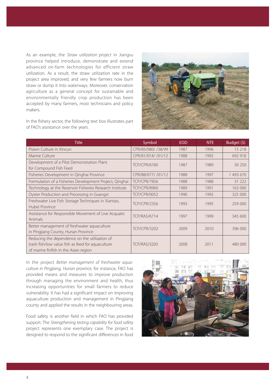As an example, the Straw utilization project in Jiangsu province helped introduce, demonstrate and extend advanced on-farm technologies for efficient straw utilization. As a result, the straw utilization rate in the project area improved, and very few farmers now burn straw or dump it into waterways. Moreover, conservation agriculture as a general concept for sustainable and environmentally friendly crop production has been accepted by many farmers, most technicians and policy makers.





| <b>Title</b>                                                                                                                                | Symbol              | <b>EOD</b> | <b>NTE</b> | Budget (\$) |
|---------------------------------------------------------------------------------------------------------------------------------------------|---------------------|------------|------------|-------------|
| Prawn Culture in Xincun                                                                                                                     | CPR/85/080/ /38/99  | 1987       | 1996       | 15 218      |
| Marine Culture                                                                                                                              | CPR/81/014/ /01/12  | 1988       | 1992       | 692 918     |
| Development of a Pilot Demonstration Plant<br>for Compound Fish Feed                                                                        | <b>TCP/CPR/6760</b> | 1987       | 1989       | 30 250      |
| Fisheries Development in Qinghai Province                                                                                                   | CPR/88/077/ /01/12  | 1988       | 1997       | 1 493 670   |
| Formulation of a Fisheries Development Project, Qinghai                                                                                     | <b>TCP/CPR/7856</b> | 1988       | 1988       | 31 222      |
| Technology at the Reservoir Fisheries Research Institute                                                                                    | <b>TCP/CPR/8960</b> | 1989       | 1991       | 163 000     |
| Oyster Production and Processing in Guangxi                                                                                                 | <b>TCP/CPR/0052</b> | 1990       | 1992       | 325 000     |
| Freshwater Live Fish Storage Techniques in Xiantao,<br>Hubei Province                                                                       | <b>TCP/CPR/2356</b> | 1993       | 1995       | 259 000     |
| Assistance for Responsible Movement of Live Acquatic<br>Animals                                                                             | <b>TCP/RAS/6714</b> | 1997       | 1999       | 345 600     |
| Better management of freshwater aquaculture<br>in Pingjiang County, Hunan Province                                                          | <b>TCP/CPR/3202</b> | 2009       | 2010       | 396 000     |
| Reducing the dependence on the utilization of<br>trash fish/low value fish as feed for aquaculture<br>of marine finfish in the Asian region | <b>TCP/RAS/3203</b> | 2008       | 2011       | 480 000     |

In the project Better management of freshwater aquaculture in Pingjiang, Hunan province, for instance, FAO has provided means and measures to improve production through managing the environment and health, thus increasing opportunities for small farmers to reduce vulnerability. It has had a significant impact on improving aquaculture production and management in Pingjiang county and applied the results in the neighbouring areas.

Food safety is another field in which FAO has provided support. The Strengthening testing capability for food safety project represents one exemplary case. The project is designed to respond to the significant differences in food

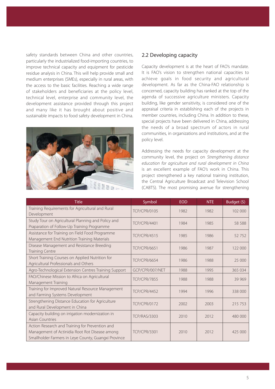safety standards between China and other countries, particularly the industrialized food-importing countries, to improve technical capacity and equipment for pesticide residue analysis in China. This will help provide small and medium enterprises (SMEs), especially in rural areas, with the access to the basic facilities. Reaching a wide range of stakeholders and beneficiaries at the policy level, technical level, enterprise and community level, the development assistance provided through this project and many like it has brought about positive and sustainable impacts to food safety development in China.



#### 2.2 Developing capacity

Capacity development is at the heart of FAO's mandate. It is FAO's vision to strengthen national capacities to achieve goals in food security and agricultural development. As far as the China-FAO relationship is concerned, capacity building has ranked at the top of the agenda of successive agriculture ministers. Capacity building, like gender sensitivity, is considered one of the appraisal criteria in establishing each of the projects in member countries, including China. In addition to these, special projects have been delivered in China, addressing the needs of a broad spectrum of actors in rural communities, in organizations and institutions, and at the policy level.

Addressing the needs for capacity development at the community level, the project on Strengthening distance education for agriculture and rural development in China is an excellent example of FAO's work in China. This project strengthened a key national training institution, the Central Agriculture Broadcast and Television School (CABTS). The most promising avenue for strengthening

| <b>Title</b>                                                                                                                                              | Symbol              | <b>EOD</b> | <b>NTE</b> | Budget (\$) |
|-----------------------------------------------------------------------------------------------------------------------------------------------------------|---------------------|------------|------------|-------------|
| Training Requirements for Agricultural and Rural<br>Development                                                                                           | <b>TCP/CPR/0105</b> | 1982       | 1982       | 102 000     |
| Study Tour on Agricultural Planning and Policy and<br>Praparation of Follow-Up Training Programme                                                         | <b>TCP/CPR/4401</b> | 1984       | 1985       | 58 588      |
| Assistance for Training on Field Food Programme<br>Management End Nutrition Training Materials                                                            | <b>TCP/CPR/4515</b> | 1985       | 1986       | 52 752      |
| Disease Management and Resistance Breeding<br><b>Training Centre</b>                                                                                      | <b>TCP/CPR/6651</b> | 1986       | 1987       | 122 000     |
| Short Training Courses on Applied Nutrition for<br>Agricultural Professionals and Others                                                                  | <b>TCP/CPR/6654</b> | 1986       | 1988       | 25 000      |
| Agro-Technological Extension Centres Training Support                                                                                                     | GCP/CPR/007/NET     | 1988       | 1995       | 365 034     |
| FAO/Chinese Mission to Africa on Agricultural<br><b>Management Training</b>                                                                               | <b>TCP/CPR/7855</b> | 1988       | 1988       | 39 969      |
| Training for Improved Natural Resource Management<br>and Farming Systems Development                                                                      | <b>TCP/CPR/4452</b> | 1994       | 1996       | 338 000     |
| Strengthening Distance Education for Agriculture<br>and Rural Development in China                                                                        | <b>TCP/CPR/0172</b> | 2002       | 2003       | 215 753     |
| Capacity building on irrigation modernization in<br><b>Asian Countries</b>                                                                                | <b>TCP/RAS/3303</b> | 2010       | 2012       | 480 000     |
| Action Research and Training for Prevention and<br>Management of Actinidia Root Rot Disease among<br>Smallholder Farmers in Leye County, Guangxi Province | <b>TCP/CPR/3301</b> | 2010       | 2012       | 425 000     |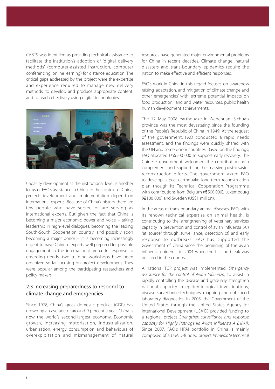CABTS was identified as providing technical assistance to facilitate the institution's adoption of "digital delivery methods" (computer-assisted instruction, computer conferencing, online learning) for distance education. The critical gaps addressed by the project were the expertise and experience required to manage new delivery methods, to develop and produce appropriate content, and to teach effectively using digital technologies.



Capacity development at the institutional level is another focus of FAO's assistance in China. In the context of China, project development and implementation depend on international experts. Because of China's history there are few people who have served or are serving as international experts. But given the fact that China is becoming a major economic power and voice – taking leadership in high-level dialogues, becoming the leading South-South Cooperation country, and possibly soon becoming a major donor – it is becoming increasingly urgent to have Chinese experts well prepared for possible engagement in the international arena. In response to emerging needs, two training workshops have been organized so far focusing on project development. They were popular among the participating researchers and policy makers.

#### 2.3 Increasing preparedness to respond to climate change and emergencies

Since 1978, China's gross domestic product (GDP) has grown by an average of around 9 percent a year. China is now the world's second-largest economy. Economic growth, increasing motorization, industrialization, urbanization, energy consumption and behaviours of overexploitation and mismanagement of natural resources have generated major environmental problems for China in recent decades. Climate change, natural disasters and trans-boundary epidemics require the nation to make effective and efficient responses.

FAO's work in China in this regard focuses on awareness raising, adaptation, and mitigation of climate change and other emergencies' with extreme potential impacts on food production, land and water resources, public health human development achievements.

The 12 May 2008 earthquake in Wenchuan, Sichuan province was the most devastating since the founding of the People's Republic of China in 1949. At the request of the government, FAO conducted a rapid needs assessment, and the findings were quickly shared with the UN and some donor countries. Based on the findings, FAO allocated US\$500 000 to support early recovery. The Chinese government welcomed the contribution as a complement and support for the massive post-disaster reconstruction efforts. The government asked FAO to develop a post-earthquake long-term reconstruction plan though its Technical Cooperation Programme with contributions from Belgium (€500 000), Luxembourg (€100 000) and Sweden (US\$1 million).

In the areas of trans-boundary animal diseases, FAO, with its renown technical expertise on animal health, is contributing to the strengthening of veterinary services capacity in prevention and control of avian influenza (AI) "at source" through surveillance, detection of, and early response to outbreaks. FAO has supported the Government of China since the beginning of the avian influenza epidemic in 2004 when the first outbreak was declared in the country.

A national TCP project was implemented, Emergency assistance for the control of Avian Influenza, to assist in rapidly controlling the disease and gradually strengthen national capacity in epidemiological investigations, disease surveillance techniques, mapping and enhanced laboratory diagnostics. In 2005, the Government of the United States through the United States Agency for International Development (USAID) provided funding to a regional project Strengthen surveillance and response capacity for Highly Pathogenic Avian Influenza A (HPAI). Since 2007, FAO's HPAI portfolio in China is mainly composed of a USAID-funded project Immediate technical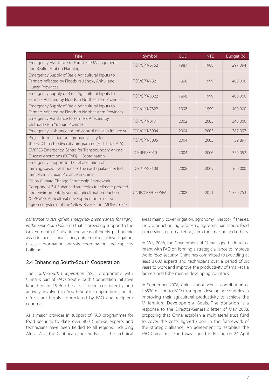| <b>Title</b>                                                                                                                                                                                                                                                          | Symbol              | <b>EOD</b> | <b>NTE</b> | Budget (\$) |
|-----------------------------------------------------------------------------------------------------------------------------------------------------------------------------------------------------------------------------------------------------------------------|---------------------|------------|------------|-------------|
| Emergency Assistance to Forest Fire Management<br>and Reafforestation Planning                                                                                                                                                                                        | <b>TCP/CPR/6762</b> | 1987       | 1988       | 297 094     |
| Emergency Supply of Basic Agricultural Inputs to<br>Farmers Affected by Floods in Jiangxi, Anhui and<br>Hunan Provinces                                                                                                                                               | <b>TCP/CPR/7821</b> | 1998       | 1999       | 400 000     |
| Emergency Supply of Basic Agricultural Inputs to<br>Farmers Affected by Floods in Northeastern Provinces                                                                                                                                                              | <b>TCP/CPR/8822</b> | 1998       | 1999       | 400 000     |
| Emergency Supply of Basic Agricultural Inputs to<br>Farmers Affected by Floods in Northeastern Provinces                                                                                                                                                              | <b>TCP/CPR/7822</b> | 1998       | 1999       | 400 000     |
| Emergency Assistance to Farmers Affected by<br>Earthquake in Yunnan Province                                                                                                                                                                                          | <b>TCP/CPR/0171</b> | 2002       | 2003       | 340 000     |
| Emergency assistance for the control of avian influenza                                                                                                                                                                                                               | <b>TCP/CPR/3004</b> | 2004       | 2005       | 387 097     |
| Project formulation on agrobiodiversity for<br>the EU China-biodiversity programme (Fast-Track ATS)                                                                                                                                                                   | <b>TCP/CPR/3005</b> | 2004       | 2005       | 39 891      |
| EMPRES Emergency Centre for Transboundary Animal<br>Disease operations (ECTAD) - Coordination                                                                                                                                                                         | <b>TCP/INT/3010</b> | 2004       | 2006       | 370 052     |
| Emergency support to the rehabilitation of<br>farming-based livelihoods of the earthquake-affected<br>families in Sichuan Province in China                                                                                                                           | <b>TCP/CPR/3108</b> | 2008       | 2009       | 500 000     |
| China Climate Change Partnership Framework-<br>Component 3.4 Enhanced strategies for climate-proofed<br>and environmentally sound agricultural production<br>(C-PESAP): Agricultural development in selected<br>agro-ecosystems of the Yellow River Basin (MDGF-1654) | UNJP/CPR/037/SPA    | 2008       | 2011       | 1 579 753   |

assistance to strengthen emergency preparedness for Highly Pathogenic Avian Influenza that is providing support to the Government of China in the areas of highly pathogenic avian influenza surveillance, epidemiological investigation, disease information analysis, coordination and capacity building.

#### 2.4 Enhancing South-South Cooperation

The South-South Cooperation (SSC) programme with China is part of FAO's South-South Cooperation initiative launched in 1996. China has been consistently and actively involved in South-South Cooperation and its efforts are highly appreciated by FAO and recipient countries.

As a major provider in support of FAO programmes for food security, to date over 800 Chinese experts and technicians have been fielded to all regions, including Africa, Asia, the Caribbean and the Pacific. The technical areas mainly cover irrigation, agronomy, livestock, fisheries, crop production, agro-forestry, agro-mechanization, food processing, agro-marketing, farm tool making and others.

In May 2006, the Government of China signed a letter of intent with FAO on forming a strategic alliance to improve world food security. China has committed to providing at least 3 000 experts and technicians over a period of six years to work and improve the productivity of small-scale farmers and fishermen in developing countries.

In September 2008, China announced a contribution of US\$30 million to FAO to support developing countries in improving their agricultural productivity to achieve the Millennium Development Goals. The donation is a response to the Director-General's letter of May 2008, proposing that China establish a multilateral trust fund to cover the costs agreed upon in the framework of the strategic alliance. An agreement to establish the FAO-China Trust Fund was signed in Beijing on 24 April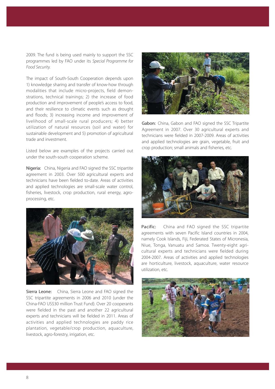2009. The fund is being used mainly to support the SSC programmes led by FAO under its Special Programme for Food Security.

The impact of South-South Cooperation depends upon 1) knowledge sharing and transfer of know-how through modalities that include micro-projects, field demonstrations, technical trainings; 2) the increase of food production and improvement of people's access to food, and their resilience to climatic events such as drought and floods; 3) increasing income and improvement of livelihood of small-scale rural producers; 4) better utilization of natural resources (soil and water) for sustainable development and 5) promotion of agricultural trade and investment.

Listed below are examples of the projects carried out under the south-south cooperation scheme.

Nigeria: China, Nigeria and FAO signed the SSC tripartite agreement in 2003. Over 500 agricultural experts and technicians have been fielded to-date. Areas of activities and applied technologies are small-scale water control, fisheries, livestock, crop production, rural energy, agroprocessing, etc.



Sierra Leone: China, Sierra Leone and FAO signed the SSC tripartite agreements in 2006 and 2010 (under the China-FAO US\$30 million Trust Fund). Over 20 cooperants were fielded in the past and another 22 agricultural experts and technicians will be fielded in 2011. Areas of activities and applied technologies are paddy rice plantation, vegetable/crop production, aquaculture, livestock, agro-forestry, irrigation, etc.



Gabon: China, Gabon and FAO signed the SSC Tripartite Agreement in 2007. Over 30 agricultural experts and technicians were fielded in 2007-2009. Areas of activities and applied technologies are grain, vegetable, fruit and crop production; small animals and fisheries, etc.



Pacific: China and FAO signed the SSC tripartite agreements with seven Pacific Island countries in 2004, namely Cook Islands, Fiji, Federated States of Micronesia, Niue, Tonga, Vanuatu and Samoa. Twenty-eight agricultural experts and technicians were fielded during 2004-2007. Areas of activities and applied technologies are horticulture, livestock, aquaculture, water resource utilization, etc.

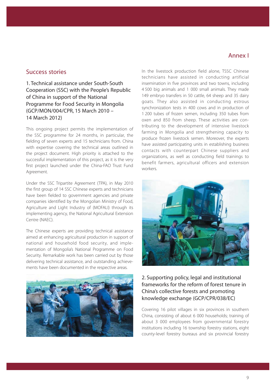#### Annex I

### Success stories

1. Technical assistance under South-South Cooperation (SSC) with the People's Republic of China in support of the National Programme for Food Security in Mongolia (GCP/MON/004/CPR, 15 March 2010 – 14 March 2012)

This ongoing project permits the implementation of the SSC programme for 24 months, in particular, the fielding of seven experts and 15 technicians from. China with expertise covering the technical areas outlined in the project document. High priority is attached to the successful implementation of this project, as it is the very first project launched under the China-FAO Trust Fund Agreement.

Under the SSC Tripartite Agreement (TPA), in May 2010 the first group of 14 SSC Chinese experts and technicians have been fielded to government agencies and private companies identified by the Mongolian Ministry of Food, Agriculture and Light Industry of (MOFALI) through its implementing agency, the National Agricultural Extension Centre (NAEC).

The Chinese experts are providing technical assistance aimed at enhancing agricultural production in support of national and household food security, and implementation of Mongolia's National Programme on Food Security. Remarkable work has been carried out by those delivering technical assistance, and outstanding achievements have been documented in the respective areas.



In the livestock production field alone, TSSC Chinese technicians have assisted in conducting artificial insemination in five provinces and two towns, including 4 500 big animals and 1 000 small animals. They made 149 embryo transfers in 50 cattle, 64 sheep and 35 dairy goats. They also assisted in conducting estrous synchronization tests in 400 cows and in production of 1 200 tubes of frozen semen, including 350 tubes from oxen and 850 from sheep. These activities are contributing to the development of intensive livestock farming in Mongolia and strengthening capacity to produce frozen livestock semen. Moreover, the experts have assisted participating units in establishing business contacts with counterpart Chinese suppliers and organizations, as well as conducting field trainings to benefit farmers, agricultural officers and extension workers.



#### 2. Supporting policy, legal and institutional frameworks for the reform of forest tenure in China's collective forests and promoting knowledge exchange (GCP/CPR/038/EC)

Covering 16 pilot villages in six provinces in southern China, consisting of about 6 000 households; training of about 3 000 employees from governmental forestry institutions including 16 township forestry stations, eight county-level forestry bureaus and six provincial forestry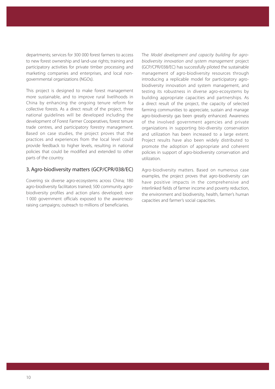departments; services for 300 000 forest farmers to access to new forest ownership and land-use rights; training and participatory activities for private timber processing and marketing companies and enterprises, and local nongovernmental organizations (NGOs).

This project is designed to make forest management more sustainable, and to improve rural livelihoods in China by enhancing the ongoing tenure reform for collective forests. As a direct result of the project, three national guidelines will be developed including the development of Forest Farmer Cooperatives, forest tenure trade centres, and participatory forestry management. Based on case studies, the project proves that the practices and experiences from the local level could provide feedback to higher levels, resulting in national policies that could be modified and extended to other parts of the country.

#### 3. Agro-biodiversity matters (GCP/CPR/038/EC)

Covering six diverse agro-ecosystems across China; 180 agro-biodiversity facilitators trained; 500 community agrobiodiversity profiles and action plans developed; over 1 000 government officials exposed to the awarenessraising campaigns; outreach to millions of beneficiaries.

The Model development and capacity building for agrobiodiversity innovation and system management project (GCP/CPR/038/EC) has successfully piloted the sustainable management of agro-biodiversity resources through introducing a replicable model for participatory agrobiodiversity innovation and system management, and testing its robustness in diverse agro-ecosystems by building appropriate capacities and partnerships. As a direct result of the project, the capacity of selected farming communities to appreciate, sustain and manage agro-biodiversity gas been greatly enhanced. Awareness of the involved government agencies and private organizations in supporting bio-diversity conservation and utilization has been increased to a large extent. Project results have also been widely distributed to promote the adoption of appropriate and coherent policies in support of agro-biodiversity conservation and utilization.

Agro-biodiversity matters. Based on numerous case examples, the project proves that agro-biodiversity can have positive impacts in the comprehensive and interlinked fields of farmer income and poverty reduction, the environment and biodiversity, health, farmer's human capacities and farmer's social capacities.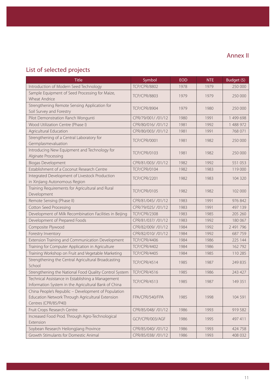# List of selected projects

| <b>Title</b>                                                                                                                    | Symbol              | <b>EOD</b> | <b>NTE</b> | Budget (\$) |
|---------------------------------------------------------------------------------------------------------------------------------|---------------------|------------|------------|-------------|
| Introduction of Modern Seed Technology                                                                                          | <b>TCP/CPR/8802</b> | 1978       | 1979       | 250 000     |
| Sample Equipment of Seed Processing for Maize,<br>Wheat Andrice                                                                 | <b>TCP/CPR/8803</b> | 1979       | 1979       | 250 000     |
| Strengthening Remote Sensing Application for<br>Soil Survey and Forestry                                                        | <b>TCP/CPR/8904</b> | 1979       | 1980       | 250 000     |
| Pilot Demonstration Ranch Wongunti                                                                                              | CPR/79/001/ /01/12  | 1980       | 1991       | 1 499 698   |
| Wood Utilization Centre (Phase I)                                                                                               | CPR/80/016/ /01/12  | 1981       | 1992       | 1 488 972   |
| Agricultural Education                                                                                                          | CPR/80/003/ /01/12  | 1981       | 1991       | 768 071     |
| Strengthening of a Central Laboratory for<br>Germplasmevaluation                                                                | <b>TCP/CPR/0001</b> | 1981       | 1982       | 250 000     |
| Introducing New Equipment and Technology for<br>Alginate Processing                                                             | <b>TCP/CPR/0103</b> | 1981       | 1982       | 250 000     |
| <b>Biogas Development</b>                                                                                                       | CPR/81/003/ /01/12  | 1982       | 1992       | 551 053     |
| Establishment of a Coconut Research Centre                                                                                      | <b>TCP/CPR/0104</b> | 1982       | 1983       | 119 000     |
| Integrated Development of Livestock Production<br>in Xinjiang Autonomous Region                                                 | <b>TCP/CPR/2201</b> | 1982       | 1983       | 104 320     |
| Training Requirements for Agricultural and Rural<br>Development                                                                 | <b>TCP/CPR/0105</b> | 1982       | 1982       | 102 000     |
| Remote Sensing (Phase II)                                                                                                       | CPR/81/045/ /01/12  | 1983       | 1991       | 976 842     |
| Cotton Seed Processing                                                                                                          | CPR/79/025/ /01/12  | 1983       | 1991       | 497 139     |
| Development of Milk Recombination Facilities in Beijing                                                                         | <b>TCP/CPR/2308</b> | 1983       | 1985       | 205 260     |
| Development of Prepared Foods                                                                                                   | CPR/81/037/ /01/12  | 1983       | 1992       | 180 067     |
| Composite Plywood                                                                                                               | CPR/82/009/ /01/12  | 1984       | 1992       | 2 491 796   |
| Forestry Inventory                                                                                                              | CPR/82/010/ /01/12  | 1984       | 1992       | 687 759     |
| Extension Training and Communication Development                                                                                | <b>TCP/CPR/4406</b> | 1984       | 1986       | 225 144     |
| Training for Computer Application in Agriculture                                                                                | <b>TCP/CPR/4402</b> | 1984       | 1986       | 162 792     |
| Training Workshop on Fruit and Vegetable Marketing                                                                              | <b>TCP/CPR/4405</b> | 1984       | 1985       | 110 285     |
| Strengthening the Central Agricultural Broadcasting<br>School                                                                   | <b>TCP/CPR/4514</b> | 1985       | 1987       | 249 835     |
| Strengthening the National Food Quality Control System                                                                          | <b>TCP/CPR/4516</b> | 1985       | 1986       | 243 427     |
| Technical Assistance in Establishing a Management<br>Information System in the Agricultural Bank of China                       | TCP/CPR/4513        | 1985       | 1987       | 149 351     |
| China People's Republic - Development of Population<br>Education Network Through Agricultural Extension<br>Centres (CPR/85/P40) | FPA/CPR/540/FPA     | 1985       | 1998       | 104 591     |
| Fruit Crops Research Centre                                                                                                     | CPR/85/048/ /01/12  | 1986       | 1993       | 919 582     |
| Increased Food Prod. Through Agro-Technological<br>Extension                                                                    | GCP/CPR/003/AGF     | 1986       | 1995       | 497 411     |
| Soybean Research Heilongjiang Province                                                                                          | CPR/85/040/ /01/12  | 1986       | 1993       | 424 758     |
| Growth Stimulants for Domestic Animal                                                                                           | CPR/85/038/ /01/12  | 1986       | 1993       | 408 032     |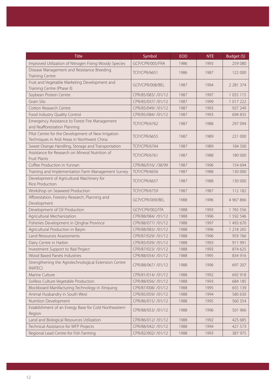| <b>Title</b>                                                                                      | Symbol              | <b>EOD</b> | <b>NTE</b> | Budget $(5)$  |
|---------------------------------------------------------------------------------------------------|---------------------|------------|------------|---------------|
| Improved Utilization of Nitrogen Fixing Woody Species                                             | GCP/CPR/005/FRA     | 1986       | 1993       | 259 080       |
| Disease Management and Resistance Breeding                                                        |                     | 1986       |            |               |
| <b>Training Centre</b>                                                                            | <b>TCP/CPR/6651</b> |            | 1987       | 122 000       |
| Fruit and Vegetable Marketing Development and                                                     | GCP/CPR/008/BEL     | 1987       | 1994       | 2 2 8 1 3 7 4 |
| Training Centre (Phase II)                                                                        |                     |            |            |               |
| Soybean Protein Centre                                                                            | CPR/85/083/ /01/12  | 1987       | 1997       | 1 0 5 1 1 1 5 |
| Grain Silo                                                                                        | CPR/85/037/ /01/12  | 1987       | 1999       | 1 017 222     |
| Cotton Research Centre                                                                            | CPR/85/049/ /01/12  | 1987       | 1993       | 927 249       |
| Food Industry Quality Control                                                                     | CPR/85/084/ /01/12  | 1987       | 1993       | 694 835       |
| Emergency Assistance to Forest Fire Management<br>and Reafforestation Planning                    | <b>TCP/CPR/6762</b> | 1987       | 1988       | 297 094       |
| Pilot Centre for the Development of New Irrigation<br>Techniques in Arid Areas in Northwest China | <b>TCP/CPR/6655</b> | 1987       | 1989       | 221 000       |
| Sweet Orange Handling, Storage and Transportation                                                 | <b>TCP/CPR/6764</b> | 1987       | 1989       | 184 500       |
| Assistance for Research on Mineral Nutrition of<br><b>Fruit Plants</b>                            | <b>TCP/CPR/6761</b> | 1987       | 1988       | 180 000       |
| Coffee Production in Yunnan                                                                       | CPR/86/016/ /38/99  | 1987       | 1996       | 154 694       |
| Training and Implementation Farm Management Survey                                                | <b>TCP/CPR/6656</b> | 1987       | 1988       | 130 000       |
| Development of Agricultural Machinery for<br><b>Rice Production</b>                               | <b>TCP/CPR/6657</b> | 1987       | 1988       | 130 000       |
| Workshop on Seaweed Production                                                                    | <b>TCP/CPR/6759</b> | 1987       | 1987       | 112 182       |
| Afforestation, Forestry Research, Planning and<br>Development                                     | GCP/CPR/009/BEL     | 1988       | 1996       | 4 967 866     |
| Development of Oil Production                                                                     | GCP/CPR/002/ITA     | 1988       | 1993       | 1 765 556     |
| Agricultural Mechanization                                                                        | CPR/88/084/ /01/12  | 1988       | 1996       | 1 592 546     |
| Fisheries Development in Qinghai Province                                                         | CPR/88/077/ /01/12  | 1988       | 1997       | 1 493 670     |
| Agricultural Production in Baiyin                                                                 | CPR/88/083/ /01/12  | 1988       | 1996       | 1 218 265     |
| Land Resources Assessments                                                                        | CPR/87/029/ /01/12  | 1988       | 1996       | 959 766       |
| Dairy Centre in Harbin                                                                            | CPR/85/039/ /01/12  | 1988       | 1993       | 911 991       |
| Investment Support to Ifad Project                                                                | CPR/87/023/ /01/12  | 1988       | 1993       | 874 625       |
| Wood Based Panels Industries                                                                      | CPR/88/054/ /01/12  | 1988       | 1995       | 834 916       |
| Strengthening the Agrotechnological Extension Centre<br>(NATEC)                                   | CPR/88/067/ /01/12  | 1988       | 1996       | 697 207       |
| Marine Culture                                                                                    | CPR/81/014/ /01/12  | 1988       | 1992       | 692 918       |
| Soilless Culture Vegetable Production                                                             | CPR/88/056/ /01/12  | 1988       | 1993       | 684 185       |
| Blockboard Manifacturing Technology in Xinquing                                                   | CPR/87/008/ /01/12  | 1988       | 1995       | 655 139       |
| Animal Husbandry in South West                                                                    | CPR/85/059/ /01/12  | 1988       | 1994       | 580 630       |
| Nutrition Development                                                                             | CPR/86/015/ /01/12  | 1988       | 1995       | 560 354       |
| Establishment of an Energy Base for Cold Northeastern<br>Region                                   | CPR/88/053/ /01/12  | 1988       | 1996       | 501 966       |
| Land and Biological Resources Utilization                                                         | CPR/86/012/ /01/12  | 1988       | 1992       | 425 685       |
| Technical Assistance for WFP Projects                                                             | CPR/88/042/ /01/12  | 1988       | 1994       | 421 573       |
| Regional Lead Centre for Fish Farming                                                             | CPR/82/002/ /01/12  | 1988       | 1993       | 387 975       |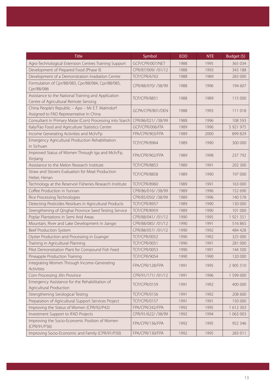| <b>Title</b>                                                                                 | Symbol              | <b>EOD</b> | <b>NTE</b> | Budget (\$) |
|----------------------------------------------------------------------------------------------|---------------------|------------|------------|-------------|
| Agro-Technological Extension Centres Training Support                                        | GCP/CPR/007/NET     | 1988       | 1995       | 365 034     |
| Development of Prepared Food (Phase II)                                                      | CPR/87/009/ /01/12  | 1988       | 1993       | 343 188     |
| Development of a Demonstration Irradiation Centre                                            | <b>TCP/CPR/6763</b> | 1988       | 1989       | 283 000     |
| Formulation of Cpr/88/083, Cpr/88/084, Cpr/88/085,<br>Cpr/88/086                             | CPR/88/070/ /38/99  | 1988       | 1996       | 194 607     |
| Assistance to the National Training and Application<br>Centre of Agricultural Remote Sensing | <b>TCP/CPR/8851</b> | 1988       | 1989       | 115 000     |
| China People's Republic - Apo - Mr E.T. Malmdorf<br>Assigned to FAO Representative In China  | GCPA/CPR/801/DEN    | 1988       | 1993       | 111 018     |
| Consultant in Primary Maize (Corn) Processing into Starch                                    | CPR/86/021/ /38/99  | 1988       | 1996       | 108 593     |
| Italy/Fao Food and Agriculture Statistics Centre                                             | GCP/CPR/006/ITA     | 1989       | 1996       | 5 921 975   |
| Income Generating Activities and Mch/Fp                                                      | FPA/CPR/903/FPA     | 1989       | 2000       | 899 829     |
| Emergency Agricultural Production Rehabilitation<br>in Sichuan                               | <b>TCP/CPR/8964</b> | 1989       | 1990       | 300 000     |
| Improved Status of Women Through Iga and Mch/Fp,<br>Xinjiang                                 | FPA/CPR/902/FPA     | 1989       | 1998       | 237 792     |
| Assistance to the Melon Research Institute                                                   | <b>TCP/CPR/8853</b> | 1989       | 1991       | 202 300     |
| Straw and Stovers Evaluation for Meat Production<br>Hebei, Henan                             | <b>TCP/CPR/8858</b> | 1989       | 1990       | 197 000     |
| Technology at the Reservoir Fisheries Research Institute                                     | <b>TCP/CPR/8960</b> | 1989       | 1991       | 163 000     |
| Coffee Production in Yunnan                                                                  | CPR/86/016/ /38/99  | 1989       | 1996       | 152 690     |
| Rice Processing Technologies                                                                 | CPR/85/050/ /38/99  | 1989       | 1996       | 140 578     |
| Detecting Pesticides Residues in Agricultural Products                                       | <b>TCP/CPR/8957</b> | 1989       | 1990       | 130 000     |
| Strengthening of Qinghai Province Seed Testing Service                                       | <b>TCP/CPR/8959</b> | 1989       | 1990       | 101 000     |
| Poplar Plantations in Semi Arid Areas                                                        | CPR/88/041/ /01/12  | 1990       | 1995       | 1 921 551   |
| Mountain, River and Lake Development in Jiangxi                                              | CPR/88/085/ /01/12  | 1990       | 1991       | 516 865     |
| Beef Production System                                                                       | CPR/88/057/ /01/12  | 1990       | 1992       | 484 428     |
| Oyster Production and Processing in Guangxi                                                  | <b>TCP/CPR/0052</b> | 1990       | 1992       | 325 000     |
| Training in Agricultural Planning                                                            | <b>TCP/CPR/0051</b> | 1990       | 1991       | 281 000     |
| Pilot Demonstration Plant for Compound Fish Feed                                             | <b>TCP/CPR/0053</b> | 1990       | 1991       | 144 500     |
| Pineapple Production Training                                                                | <b>TCP/CPR/9054</b> | 1990       | 1990       | 120 000     |
| Integrating Women Through Income-Generating<br>Activities                                    | FPA/CPR/128/FPA     | 1991       | 1995       | 2 905 510   |
| Corn Processing Jilin Province                                                               | CPR/91/171/ /01/12  | 1991       | 1996       | 1 599 000   |
| Emergency Assistance for the Rehabilitation of<br>Agricultural Production                    | <b>TCP/CPR/0159</b> | 1991       | 1992       | 400 000     |
| Strengthening Serological Testing                                                            | <b>TCP/CPR/0156</b> | 1991       | 1992       | 208 600     |
| Preparation of Agricultural Support Services Project                                         | <b>TCP/CPR/0157</b> | 1991       | 1991       | 150 000     |
| Improving the Status of Women (CPR/92/P42)                                                   | FPA/CPR/242/FPA     | 1992       | 1995       | 1 612 303   |
| Investment Support to IFAD Projects                                                          | CPR/91/622/ /38/99  | 1992       | 1994       | 1 063 003   |
| Improving the Socio-Economic Position of Women<br>(CPR/91/P36)                               | FPA/CPR/136/FPA     | 1992       | 1995       | 952 346     |
| Improving Socio-Economic and Family (CPR/91/P30)                                             | FPA/CPR/130/FPA     | 1992       | 1995       | 283 011     |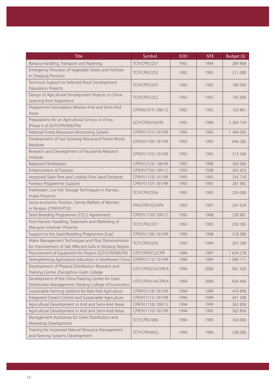| <b>Title</b>                                                                                                     | Symbol              | <b>EOD</b> | <b>NTE</b> | Budget $(5)$ |
|------------------------------------------------------------------------------------------------------------------|---------------------|------------|------------|--------------|
| Banana Handling, Transport and Ripening                                                                          | <b>TCP/CPR/2251</b> | 1992       | 1994       | 269 868      |
| Emergency Provision of Vegetable Seeds and Fertilizer<br>in Zhejiang Province                                    | <b>TCP/CPR/2255</b> | 1992       | 1993       | 211 000      |
| Technical Support to Selected Rural Development<br>Population Projects                                           | <b>TCP/CPR/2253</b> | 1992       | 1993       | 166 000      |
| Design of Agicultural Development Projects in China:<br>Learning from Experience                                 | <b>TCP/CPR/2252</b> | 1992       | 1993       | 105 000      |
| Programme Formulation Mission-Arid and Semi-Arid<br>Areas                                                        | CPR/92/01T/ /08/12  | 1992       | 1992       | 103 861      |
| Preparations for an Agricultural Census in China<br>(Phase II of GCP/CPR/006/ITA)                                | GCP/CPR/010/ITA     | 1993       | 1999       | 5 304 159    |
| National Forest Resources Monitoring System                                                                      | CPR/91/151/ /01/99  | 1993       | 1993       | 1 494 092    |
| Development of Fast Growing Wood and Forest Wood<br>Residues                                                     | CPR/91/156/ /01/99  | 1993       | 1993       | 646 282      |
| Research and Development of Paulownia Research<br>Institute                                                      | CPR/91/155/ /01/99  | 1993       | 1993       | 513 340      |
| <b>Balanced Fertilization</b>                                                                                    | CPR/91/123/ /38/99  | 1993       | 1998       | 383 000      |
| Enhancement of Forestry                                                                                          | CPR/91/150/ /09/12  | 1993       | 1998       | 343 423      |
| Improved Slash Pine and Loblolly Pine Seed Orchards                                                              | CPR/91/153/ /01/99  | 1993       | 1993       | 316739       |
| Forestry Programme Support                                                                                       | CPR/91/157/ /01/99  | 1993       | 1993       | 281 982      |
| Freshwater Live Fish Storage Techniques in Xiantao,<br>Hubei Province                                            | <b>TCP/CPR/2356</b> | 1993       | 1995       | 259 000      |
| Socio-economic Position, Family Welfare of Women<br>in Ningxia (CPR/93/P52)                                      | FPA/CPR/352/FPA     | 1993       | 1997       | 247 024      |
| Seed Breeding Programme (TSS-2 Agreement)                                                                        | CPR/91/130/ /09/12  | 1993       | 1998       | 230 881      |
| Post-Harvest Handling, Treatment and Marketing of<br>Mangoes Inhainan Province                                   | <b>TCP/CPR/2357</b> | 1993       | 1995       | 230 585      |
| Support to the Seed Breeding Programme (Loa)                                                                     | CPR/91/136/ /01/99  | 1993       | 1998       | 218 389      |
| Water Management Techniques and Pilot Demonstration<br>for Improvement of Salt Affected Soils in Xinjiang Region | <b>TCP/CPR/2254</b> | 1993       | 1994       | 207 200      |
| Procurement of Equipment for Project GCP/CPR/006/ITA                                                             | UTF/CPR/012/CPR     | 1994       | 1997       | 1 834 278    |
| Strengthening Agricultural Education in Northwest China                                                          | CPR/91/112/ /01/99  | 1994       | 1999       | 1 040 171    |
| Development of Physical Distribution Reserach and<br>Training Centre, Zhengzhou Grain College                    | UTF/CPR/015/CPR/A   | 1994       | 2000       | 961 420      |
| Development of the China Training Centre for Grain<br>Distribution Management, Nanjing College of Economics      | UTF/CPR/014/CPR/A   | 1994       | 2000       | 834 400      |
| Sustainable Farming Systems for Rain-Fed Agriculture                                                             | CPR/91/114/ /01/99  | 1994       | 1999       | 470 890      |
| Integrated Desert Control and Sustainable Agriculture                                                            | CPR/91/111/ /01/99  | 1994       | 1999       | 441 308      |
| Agricultural Development in Arid and Semi-Arid Areas                                                             | CPR/91/110/ /09/12  | 1994       | 1999       | 362 856      |
| Agricultural Development in Arid and Semi-Arid Areas                                                             | CPR/91/110/ /01/99  | 1994       | 1995       | 362 856      |
| Management Assistance for Grain Distribution and<br>Marketing Development                                        | <b>TCP/CPR/2360</b> | 1994       | 1995       | 354 000      |
| Training for Improved Natural Resource Management<br>and Farming Systems Development                             | <b>TCP/CPR/4452</b> | 1994       | 1996       | 338 000      |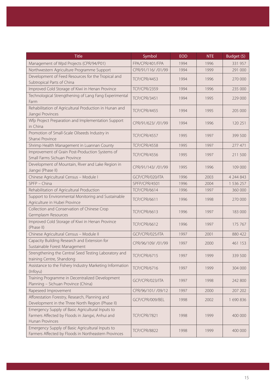| <b>Title</b>                                                                                                            | Symbol              | <b>EOD</b> | <b>NTE</b> | Budget (\$) |
|-------------------------------------------------------------------------------------------------------------------------|---------------------|------------|------------|-------------|
| Management of Wpd Projects (CPR/94/P01)                                                                                 | FPA/CPR/401/FPA     | 1994       | 1996       | 331 957     |
| Northwestern Agriculture Programme Support                                                                              | CPR/91/116/ /01/99  | 1994       | 1999       | 291 000     |
| Development of Feed Resources for the Tropical and<br>Subtropical Parts of China                                        | <b>TCP/CPR/4453</b> | 1994       | 1996       | 270 000     |
| Improved Cold Storage of Kiwi in Henan Province                                                                         | <b>TCP/CPR/2359</b> | 1994       | 1996       | 235 000     |
| Technological Strengthening of Lang Fang Experimental<br>Farm                                                           | <b>TCP/CPR/3451</b> | 1994       | 1995       | 229 000     |
| Rehabilitation of Agricultural Production in Hunan and<br>Jiangxi Provinces                                             | <b>TCP/CPR/4455</b> | 1994       | 1995       | 205 000     |
| Wfp Project Preparation and Implementation Support<br>in China                                                          | CPR/91/623/ /01/99  | 1994       | 1996       | 120 251     |
| Promotion of Small-Scale Oilseeds Industry in<br>Shanxi Province                                                        | <b>TCP/CPR/4557</b> | 1995       | 1997       | 399 500     |
| Shrimp Health Management in Luannan County                                                                              | <b>TCP/CPR/4558</b> | 1995       | 1997       | 277 471     |
| Improvement of Grain Post-Production Systems of<br>Small Farms Sichuan Province                                         | <b>TCP/CPR/4556</b> | 1995       | 1997       | 211 500     |
| Development of Mountain, River and Lake Region in<br>Jiangxi (Phase II)                                                 | CPR/91/143/ /01/99  | 1995       | 1996       | 109 000     |
| Chinese Agricultural Census - Module I                                                                                  | GCP/CPR/020/ITA     | 1996       | 2003       | 4 244 843   |
| SPFP - China                                                                                                            | SPFP/CPR/4501       | 1996       | 2004       | 1 536 257   |
| Rehabilitation of Agricultural Production                                                                               | <b>TCP/CPR/6614</b> | 1996       | 1997       | 360 000     |
| Support to Environmental Monitoring and Sustainable<br>Agriculture in Hubei Province                                    | <b>TCP/CPR/6611</b> | 1996       | 1998       | 270 000     |
| Collection and Conservation of Chinese Crop<br>Germplasm Resources                                                      | <b>TCP/CPR/6613</b> | 1996       | 1997       | 183 000     |
| Improved Cold Storage of Kiwi in Henan Province<br>(Phase II)                                                           | <b>TCP/CPR/6612</b> | 1996       | 1997       | 175 767     |
| Chinese Agricultural Census - Module II                                                                                 | GCP/CPR/025/ITA     | 1997       | 2001       | 880 422     |
| Capacity Building Research and Extension for<br>Sustainable Forest Management                                           | CPR/96/109/ /01/99  | 1997       | 2000       | 461 153     |
| Strengthening the Central Seed Testing Laboratory and<br>training Centre, Shandong                                      | <b>TCP/CPR/6715</b> | 1997       | 1999       | 339 500     |
| Assistance to the Fishery Industry Marketing Information<br>(Infoyu)                                                    | <b>TCP/CPR/6716</b> | 1997       | 1999       | 304 000     |
| Training Programme in Decentralized Development<br>Planning - Sichuan Province (China)                                  | GCP/CPR/023/ITA     | 1997       | 1998       | 242 800     |
| Rapeseed Improvement                                                                                                    | CPR/96/101/ /09/12  | 1997       | 2000       | 207 202     |
| Afforestation Forestry, Research, Planning and<br>Development in the Three North Region (Phase II)                      | GCP/CPR/009/BEL     | 1998       | 2002       | 1 690 836   |
| Emergency Supply of Basic Agricultural Inputs to<br>Farmers Affected by Floods in Jiangxi, Anhui and<br>Hunan Provinces | <b>TCP/CPR/7821</b> | 1998       | 1999       | 400 000     |
| Emergency Supply of Basic Agricultural Inputs to<br>Farmers Affected by Floods in Northeastern Provinces                | <b>TCP/CPR/8822</b> | 1998       | 1999       | 400 000     |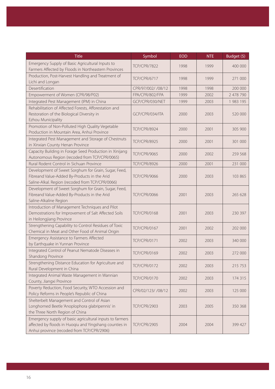| <b>Title</b>                                                                                                                                                     | Symbol              | <b>EOD</b> | <b>NTE</b> | Budget (\$) |
|------------------------------------------------------------------------------------------------------------------------------------------------------------------|---------------------|------------|------------|-------------|
| Emergency Supply of Basic Agricultural Inputs to<br>Farmers Affected by Floods in Northeastern Provinces                                                         | <b>TCP/CPR/7822</b> | 1998       | 1999       | 400 000     |
| Production, Post-Harvest Handling and Treatment of<br>Lichi and Longan                                                                                           | <b>TCP/CPR/6717</b> | 1998       | 1999       | 271 000     |
| Desertification                                                                                                                                                  | CPR/97/002/ /08/12  | 1998       | 1998       | 200 000     |
| Empowerment of Women (CPR/98/P02)                                                                                                                                | FPA/CPR/802/FPA     | 1999       | 2002       | 2 478 790   |
| Integrated Pest Management (IPM) in China                                                                                                                        | GCP/CPR/030/NET     | 1999       | 2003       | 1 983 195   |
| Rehabilitation of Affected Forests, Afforestation and<br>Restoration of the Biological Diversity in<br>Ezhou Municipality                                        | GCP/CPR/034/ITA     | 2000       | 2003       | 520 000     |
| Promotion of Non-Polluted High Quality Vegetable<br>Production in Mountain Area, Anhui Province                                                                  | <b>TCP/CPR/8924</b> | 2000       | 2001       | 305 900     |
| Integrated Pest Management and Storage of Chestnuts<br>in Xinxian County Henan Province                                                                          | <b>TCP/CPR/8925</b> | 2000       | 2001       | 301 000     |
| Capacity Building in Forage Seed Production in Xinijang<br>Autonomous Region (recoded from TCP/CPR/0065)                                                         | <b>TCP/CPR/9065</b> | 2000       | 2002       | 259 568     |
| Rural Rodent Control in Sichuan Province                                                                                                                         | <b>TCP/CPR/8926</b> | 2000       | 2001       | 231 000     |
| Development of Sweet Sorghum for Grain, Sugar, Feed,<br>Fibreand Value-Added By-Products in the Arid<br>Saline-Alkal. Region (recoded from TCP/CPR/0066)         | <b>TCP/CPR/9066</b> | 2000       | 2003       | 103 865     |
| Development of Sweet Sorghum for Grain, Sugar, Feed,<br>Fibreand Value-Added By-Products in the Arid<br>Saline-Alkaline Region                                   | <b>TCP/CPR/0066</b> | 2001       | 2003       | 265 628     |
| Introduction of Management Techniques and Pilot<br>Demostrations for Improvement of Salt Affected Soils<br>in Heilongjiang Province                              | <b>TCP/CPR/0168</b> | 2001       | 2003       | 230 397     |
| Strengthening Capability to Control Residues of Toxic<br>Chemical in Meat and Other Food of Animal Origin                                                        | <b>TCP/CPR/0167</b> | 2001       | 2002       | 202 000     |
| Emergency Assistance to Farmers Affected<br>by Earthquake in Yunnan Province                                                                                     | <b>TCP/CPR/0171</b> | 2002       | 2003       | 340 000     |
| Integrated Control of Peanut Nematode Diseases in<br>Shandong Province                                                                                           | <b>TCP/CPR/0169</b> | 2002       | 2003       | 272 000     |
| Strengthening Distance Education for Agriculture and<br>Rural Development in China                                                                               | <b>TCP/CPR/0172</b> | 2002       | 2003       | 215 753     |
| Integrated Animal Waste Management in Wannian<br>County, Jiangxi Province                                                                                        | <b>TCP/CPR/0170</b> | 2002       | 2003       | 174 315     |
| Poverty Reduction, Food Security, WTO Accession and<br>Policy Reforms in People's Republic of China                                                              | CPR/02/123/ /08/12  | 2002       | 2003       | 125 000     |
| Shelterbelt Management and Control of Asian<br>Longhorned Beetle 'Anoplophora glabripennis' in<br>the Three North Region of China                                | <b>TCP/CPR/2903</b> | 2003       | 2005       | 350 368     |
| Emergency supply of basic agricultural inputs to farmers<br>affected by floods in Huoqiu and Yingshang counties in<br>Anhui province (recoded from TCP/CPR/2906) | <b>TCP/CPR/2905</b> | 2004       | 2004       | 399 427     |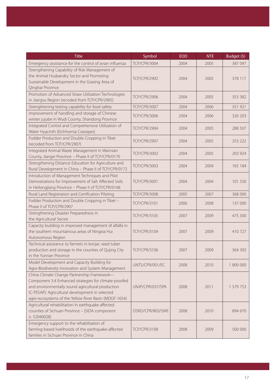| <b>Title</b>                                                                                                                                                                                                                                                          | Symbol              | <b>EOD</b> | <b>NTE</b> | Budget (\$) |
|-----------------------------------------------------------------------------------------------------------------------------------------------------------------------------------------------------------------------------------------------------------------------|---------------------|------------|------------|-------------|
| Emergency assistance for the control of avian influenza                                                                                                                                                                                                               | <b>TCP/CPR/3004</b> | 2004       | 2005       | 387 097     |
| Strengthening Capability of Risk Management of<br>the Animal Husbandry Sector and Promoting<br>Sustainable Development in the Grazing Area of<br>Qinghai Province                                                                                                     | <b>TCP/CPR/2902</b> | 2004       | 2005       | 378 117     |
| Promotion of Advanced Straw Utilization Technologies<br>in Jiangsu Region (recoded from TCP/CPR/2905)                                                                                                                                                                 | <b>TCP/CPR/2906</b> | 2004       | 2005       | 353 382     |
| Strengthening testing capability for food safety                                                                                                                                                                                                                      | <b>TCP/CPR/3007</b> | 2004       | 2006       | 351 921     |
| Improvement of handling and storage of Chinese<br>winter jujube in Wudi County, Shandong Province                                                                                                                                                                     | <b>TCP/CPR/3006</b> | 2004       | 2006       | 326 203     |
| Integrated Control and Comprehensive Utilization of<br>Water Hyacinth (Eichhornia Crassipes)                                                                                                                                                                          | <b>TCP/CPR/2904</b> | 2004       | 2005       | 288 507     |
| Fodder Production and Double Cropping in Tibet<br>(recoded from TCP/CPR/2907)                                                                                                                                                                                         | <b>TCP/CPR/2907</b> | 2004       | 2005       | 253 222     |
| Integrated Animal Waste Management in Wannian<br>County, Jiangxi Province - Phase II of TCP/CPR/0170                                                                                                                                                                  | <b>TCP/CPR/3002</b> | 2004       | 2005       | 203 924     |
| Strengthening Distance Education for Agriculture and<br>Rural Development in China - Phase II of TCP/CPR/0172                                                                                                                                                         | <b>TCP/CPR/3003</b> | 2004       | 2004       | 165 184     |
| Introduction of Management Techniques and Pilot<br>Demostrations for Improvement of Salt Affected Soils<br>in Heilongjiang Province - Phase II of TCP/CPR/0168                                                                                                        | <b>TCP/CPR/3001</b> | 2004       | 2004       | 101 530     |
| Rural Land Registration and Certification Piloting                                                                                                                                                                                                                    | <b>TCP/CPR/3008</b> | 2005       | 2007       | 368 000     |
| Fodder Production and Double Cropping in Tibet -<br>Phase II of TCP/CPR/2907                                                                                                                                                                                          | <b>TCP/CPR/3101</b> | 2006       | 2008       | 137 000     |
| Strengthening Disaster Preparedness in<br>the Agricultural Sector                                                                                                                                                                                                     | <b>TCP/CPR/3105</b> | 2007       | 2009       | 475 300     |
| Capacity building in improved management of alfalfa in<br>the southern mountainous areas of Ningxia Hui<br>Autonomous Region                                                                                                                                          | <b>TCP/CPR/3104</b> | 2007       | 2009       | 410 727     |
| Technical assistance to farmers in konjac seed tuber<br>production and storage in the counties of Qujing City<br>in the Yunnan Province                                                                                                                               | <b>TCP/CPR/3106</b> | 2007       | 2009       | 364 303     |
| Model Development and Capacity Building for<br>Agro-Biodiversity Innovation and System Management                                                                                                                                                                     | UNTS/CPR/001/EC     | 2008       | 2010       | 1 800 000   |
| China Climate Change Partnership Framework-<br>Component 3.4 Enhanced strategies for climate-proofed<br>and environmentally sound agricultural production<br>(C-PESAP): Agricultural development in selected<br>agro-ecosystems of the Yellow River Basin (MDGF-1654) | UNJP/CPR/037/SPA    | 2008       | 2011       | 1 579 753   |
| Agricultural rehabilitation in earthquake affected<br>counties of Sichuan Province - (SIDA component<br>n. 52040028)                                                                                                                                                  | OSRO/CPR/803/SWE    | 2008       | 2010       | 894 670     |
| Emergency support to the rehabilitation of<br>farming-based livelihoods of the earthquake-affected<br>families in Sichuan Province in China                                                                                                                           | <b>TCP/CPR/3108</b> | 2008       | 2009       | 500 000     |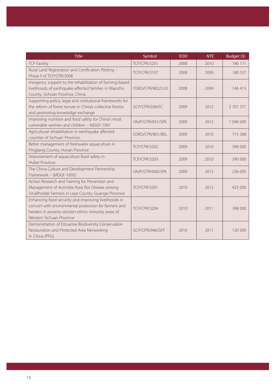| <b>Title</b>                                                                                                                                                                                      | Symbol              | <b>EOD</b> | <b>NTE</b> | Budget (\$) |
|---------------------------------------------------------------------------------------------------------------------------------------------------------------------------------------------------|---------------------|------------|------------|-------------|
| <b>TCP Facility</b>                                                                                                                                                                               | <b>TCP/CPR/3201</b> | 2008       | 2010       | 186 171     |
| Rural Land Registration and Certification Piloting -<br>Phase II of TCP/CPR/3008                                                                                                                  | <b>TCP/CPR/3107</b> | 2008       | 2009       | 180 537     |
| mergency support to the rehabilitation of farming-based<br>livelihoods of earthquake-affected families in Mianzhu<br>County, Sichuan Province, China.                                             | OSRO/CPR/802/LUX    | 2008       | 2009       | 146 413     |
| Supporting policy, legal and institutional frameworks for<br>the reform of forest tenure in China's collective forests<br>and promoting knowledge exchange                                        | GCP/CPR/038/EC      | 2009       | 2012       | 2 701 371   |
| Improving nutrition and food safety for China's most<br>vulnerable women and children - MDGF-1991                                                                                                 | UNJP/CPR/041/SPA    | 2009       | 2012       | 1 048 600   |
| Agricultural rehabilitation in earthquake affected<br>counties of Sichuan Province.                                                                                                               | OSRO/CPR/801/BEL    | 2009       | 2010       | 715 308     |
| Better management of freshwater aquaculture in<br>Pingjiang County, Hunan Province                                                                                                                | <b>TCP/CPR/3202</b> | 2009       | 2010       | 396 000     |
| Improvement of aquaculture food safety in<br>Hubei Province                                                                                                                                       | <b>TCP/CPR/3203</b> | 2009       | 2010       | 390 000     |
| The China Culture and Development Partnership<br>Framework - (MDGF-1692)                                                                                                                          | UNJP/CPR/040/SPA    | 2009       | 2012       | 236 095     |
| Action Research and Training for Prevention and<br>Management of Actinidia Root Rot Disease among<br>Smallholder Farmers in Leye County, Guangxi Province                                         | <b>TCP/CPR/3301</b> | 2010       | 2012       | 425 000     |
| Enhancing food security and improving livelihoods in<br>concert with environmental protection for farmers and<br>herders in poverty-stricken ethnic minority areas of<br>Western Sichuan Province | <b>TCP/CPR/3204</b> | 2010       | 2011       | 398 000     |
| Demonstration of Estuarine Biodiversity Conservation<br>Restauration and Protected Area Networking<br>in China (PPG)                                                                              | GCP/CPR/046/GFF     | 2010       | 2011       | 120 000     |